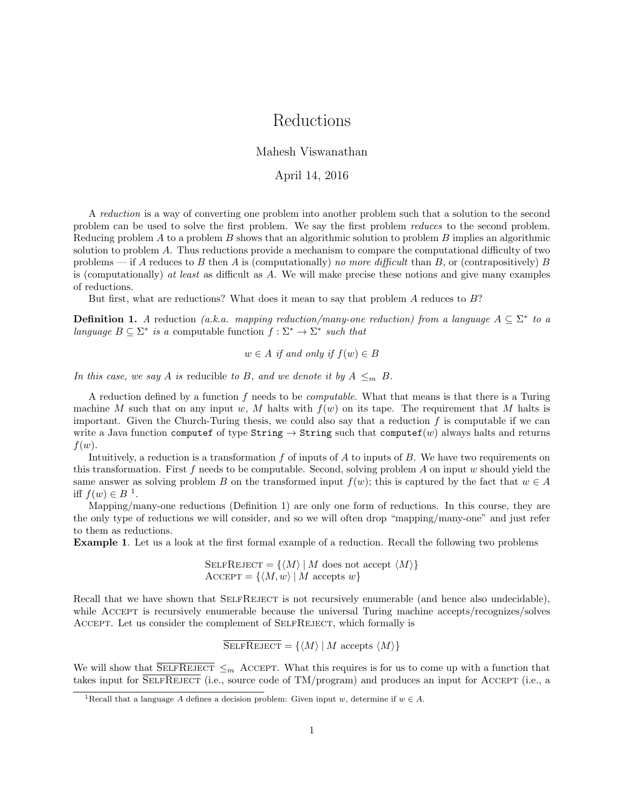# Reductions

### Mahesh Viswanathan

#### April 14, 2016

A reduction is a way of converting one problem into another problem such that a solution to the second problem can be used to solve the first problem. We say the first problem reduces to the second problem. Reducing problem A to a problem B shows that an algorithmic solution to problem B implies an algorithmic solution to problem A. Thus reductions provide a mechanism to compare the computational difficulty of two problems — if A reduces to B then A is (computationally) no more difficult than B, or (contrapositively) B is (computationally) at least as difficult as  $A$ . We will make precise these notions and give many examples of reductions.

But first, what are reductions? What does it mean to say that problem A reduces to B?

**Definition 1.** A reduction (a.k.a. mapping reduction/many-one reduction) from a language  $A \subseteq \Sigma^*$  to a language  $B \subseteq \Sigma^*$  is a computable function  $f : \Sigma^* \to \Sigma^*$  such that

 $w \in A$  if and only if  $f(w) \in B$ 

In this case, we say A is reducible to B, and we denote it by  $A \leq_m B$ .

A reduction defined by a function  $f$  needs to be *computable*. What that means is that there is a Turing machine M such that on any input w, M halts with  $f(w)$  on its tape. The requirement that M halts is important. Given the Church-Turing thesis, we could also say that a reduction  $f$  is computable if we can write a Java function computef of type String  $\rightarrow$  String such that computef(w) always halts and returns  $f(w)$ .

Intuitively, a reduction is a transformation f of inputs of A to inputs of B. We have two requirements on this transformation. First f needs to be computable. Second, solving problem A on input  $w$  should yield the same answer as solving problem B on the transformed input  $f(w)$ ; this is captured by the fact that  $w \in A$ iff  $f(w) \in B^{-1}$ .

Mapping/many-one reductions (Definition 1) are only one form of reductions. In this course, they are the only type of reductions we will consider, and so we will often drop "mapping/many-one" and just refer to them as reductions.

Example 1. Let us a look at the first formal example of a reduction. Recall the following two problems

SELFREJECT =  $\{ \langle M \rangle \mid M$  does not accept  $\langle M \rangle \}$  $\text{Accept} = \{ \langle M, w \rangle \mid M \text{ accepts } w \}$ 

Recall that we have shown that SELFREJECT is not recursively enumerable (and hence also undecidable), while ACCEPT is recursively enumerable because the universal Turing machine accepts/recognizes/solves Accept. Let us consider the complement of SelfReject, which formally is

 $\overline{\text{SELFREJECT}} = \{ \langle M \rangle | M \text{ accepts } \langle M \rangle \}$ 

We will show that  $\overline{\text{SELECT}} \leq_m \text{ Accept}$ . What this requires is for us to come up with a function that takes input for SELFREJECT (i.e., source code of TM/program) and produces an input for ACCEPT (i.e., a

<sup>&</sup>lt;sup>1</sup>Recall that a language A defines a decision problem: Given input w, determine if  $w \in A$ .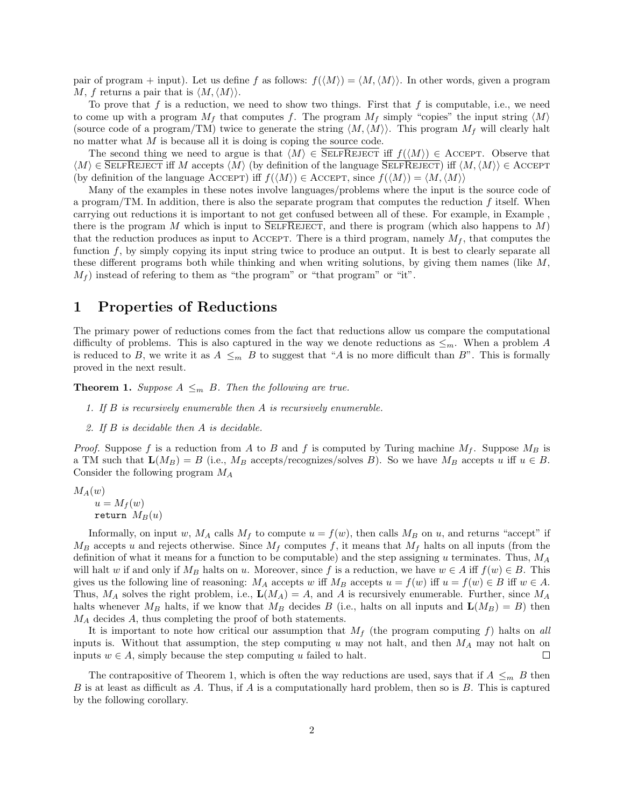pair of program + input). Let us define f as follows:  $f(\langle M \rangle) = \langle M,\langle M \rangle$ . In other words, given a program M, f returns a pair that is  $\langle M,\langle M\rangle\rangle$ .

To prove that f is a reduction, we need to show two things. First that f is computable, i.e., we need to come up with a program  $M_f$  that computes f. The program  $M_f$  simply "copies" the input string  $\langle M \rangle$ (source code of a program/TM) twice to generate the string  $\langle M,\langle M\rangle\rangle$ . This program  $M_f$  will clearly halt no matter what M is because all it is doing is coping the source code.

The second thing we need to argue is that  $\langle M \rangle \in \overline{\text{SELFREJECT}}$  iff  $f(\langle M \rangle) \in \text{Accept}$ . Observe that  $\langle M \rangle \in$  SELFREJECT iff M accepts  $\langle M \rangle$  (by definition of the language SELFREJECT) iff  $\langle M, \langle M \rangle \rangle \in$  ACCEPT (by definition of the language ACCEPT) iff  $f(\langle M \rangle) \in \text{Accept}$ , since  $f(\langle M \rangle) = \langle M, \langle M \rangle$ 

Many of the examples in these notes involve languages/problems where the input is the source code of a program/TM. In addition, there is also the separate program that computes the reduction  $f$  itself. When carrying out reductions it is important to not get confused between all of these. For example, in Example , there is the program M which is input to SELFREJECT, and there is program (which also happens to  $M$ ) that the reduction produces as input to ACCEPT. There is a third program, namely  $M_f$ , that computes the function f, by simply copying its input string twice to produce an output. It is best to clearly separate all these different programs both while thinking and when writing solutions, by giving them names (like  $M$ ,  $M_f$ ) instead of refering to them as "the program" or "that program" or "it".

## 1 Properties of Reductions

The primary power of reductions comes from the fact that reductions allow us compare the computational difficulty of problems. This is also captured in the way we denote reductions as  $\leq_m$ . When a problem A is reduced to B, we write it as  $A \leq_m B$  to suggest that "A is no more difficult than B". This is formally proved in the next result.

**Theorem 1.** Suppose  $A \leq_m B$ . Then the following are true.

- 1. If  $B$  is recursively enumerable then  $A$  is recursively enumerable.
- 2. If B is decidable then A is decidable.

*Proof.* Suppose f is a reduction from A to B and f is computed by Turing machine  $M_f$ . Suppose  $M_B$  is a TM such that  $\mathbf{L}(M_B) = B$  (i.e.,  $M_B$  accepts/recognizes/solves B). So we have  $M_B$  accepts u iff  $u \in B$ . Consider the following program  $M_A$ 

 $M_A(w)$  $u = M_f(w)$ return  $M_B(u)$ 

Informally, on input w,  $M_A$  calls  $M_f$  to compute  $u = f(w)$ , then calls  $M_B$  on u, and returns "accept" if  $M_B$  accepts u and rejects otherwise. Since  $M_f$  computes f, it means that  $M_f$  halts on all inputs (from the definition of what it means for a function to be computable) and the step assigning u terminates. Thus,  $M_A$ will halt w if and only if  $M_B$  halts on u. Moreover, since f is a reduction, we have  $w \in A$  iff  $f(w) \in B$ . This gives us the following line of reasoning:  $M_A$  accepts w iff  $M_B$  accepts  $u = f(w)$  iff  $u = f(w) \in B$  iff  $w \in A$ . Thus,  $M_A$  solves the right problem, i.e.,  $\mathbf{L}(M_A) = A$ , and A is recursively enumerable. Further, since  $M_A$ halts whenever  $M_B$  halts, if we know that  $M_B$  decides B (i.e., halts on all inputs and  $\mathbf{L}(M_B) = B$ ) then  $M_A$  decides  $A$ , thus completing the proof of both statements.

It is important to note how critical our assumption that  $M_f$  (the program computing f) halts on all inputs is. Without that assumption, the step computing u may not halt, and then  $M_A$  may not halt on inputs  $w \in A$ , simply because the step computing u failed to halt.  $\Box$ 

The contrapositive of Theorem 1, which is often the way reductions are used, says that if  $A \leq_m B$  then B is at least as difficult as A. Thus, if A is a computationally hard problem, then so is  $B$ . This is captured by the following corollary.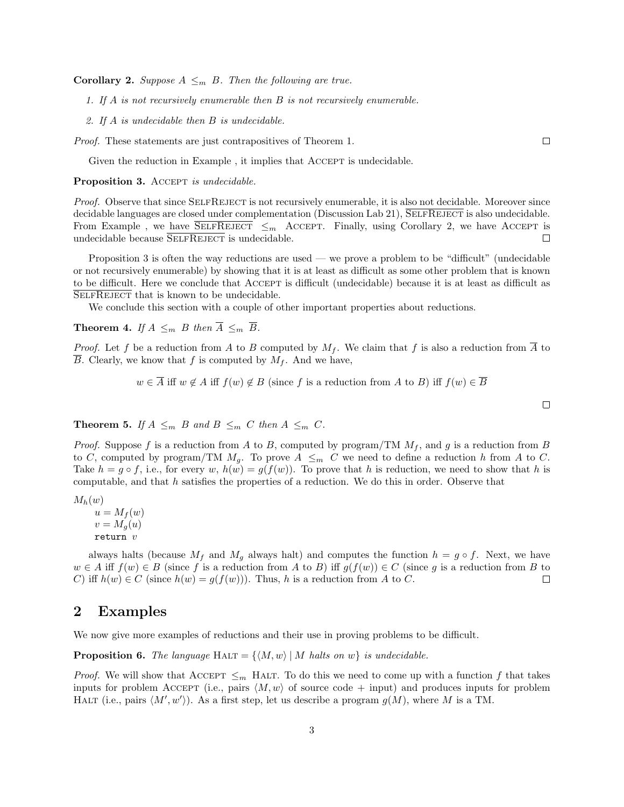**Corollary 2.** Suppose  $A \leq_m B$ . Then the following are true.

1. If A is not recursively enumerable then B is not recursively enumerable.

2. If A is undecidable then B is undecidable.

Proof. These statements are just contrapositives of Theorem 1.

Given the reduction in Example, it implies that ACCEPT is undecidable.

Proposition 3. ACCEPT is undecidable.

Proof. Observe that since SELFREJECT is not recursively enumerable, it is also not decidable. Moreover since decidable languages are closed under complementation (Discussion Lab 21),  $\overline{\text{SELFREJECT}}$  is also undecidable. From Example, we have  $\overline{\text{SELECT}} \leq_m \text{ Accept}$ . Finally, using Corollary 2, we have ACCEPT is undecidable because  $\overline{\text{SELFREJECT}}$  is undecidable.  $\Box$ 

Proposition 3 is often the way reductions are used — we prove a problem to be "difficult" (undecidable or not recursively enumerable) by showing that it is at least as difficult as some other problem that is known to be difficult. Here we conclude that Accept is difficult (undecidable) because it is at least as difficult as SELFREJECT that is known to be undecidable.

We conclude this section with a couple of other important properties about reductions.

**Theorem 4.** If  $A \leq_m B$  then  $\overline{A} \leq_m \overline{B}$ .

*Proof.* Let f be a reduction from A to B computed by  $M_f$ . We claim that f is also a reduction from  $\overline{A}$  to B. Clearly, we know that f is computed by  $M_f$ . And we have,

 $w \in \overline{A}$  iff  $w \notin A$  iff  $f(w) \notin B$  (since f is a reduction from A to B) iff  $f(w) \in \overline{B}$ 

 $\Box$ 

 $\Box$ 

**Theorem 5.** If  $A \leq_m B$  and  $B \leq_m C$  then  $A \leq_m C$ .

*Proof.* Suppose f is a reduction from A to B, computed by program/TM  $M_f$ , and g is a reduction from B to C, computed by program/TM  $M_q$ . To prove  $A \leq_m C$  we need to define a reduction h from A to C. Take  $h = g \circ f$ , i.e., for every w,  $h(w) = g(f(w))$ . To prove that h is reduction, we need to show that h is computable, and that  $h$  satisfies the properties of a reduction. We do this in order. Observe that

 $M_h(w)$ 

 $u = M_f(w)$  $v = M_g(u)$ return v

always halts (because  $M_f$  and  $M_g$  always halt) and computes the function  $h = g \circ f$ . Next, we have  $w \in A$  iff  $f(w) \in B$  (since f is a reduction from A to B) iff  $g(f(w)) \in C$  (since g is a reduction from B to C) if  $h(w) \in C$  (since  $h(w) = g(f(w))$ ). Thus, h is a reduction from A to C.  $\Box$ 

### 2 Examples

We now give more examples of reductions and their use in proving problems to be difficult.

**Proposition 6.** The language HALT =  $\{M, w\}$  | M halts on w} is undecidable.

*Proof.* We will show that ACCEPT  $\leq_m$  HALT. To do this we need to come up with a function f that takes inputs for problem Accept (i.e., pairs  $\langle M, w \rangle$  of source code + input) and produces inputs for problem HALT (i.e., pairs  $\langle M', w' \rangle$ ). As a first step, let us describe a program  $g(M)$ , where M is a TM.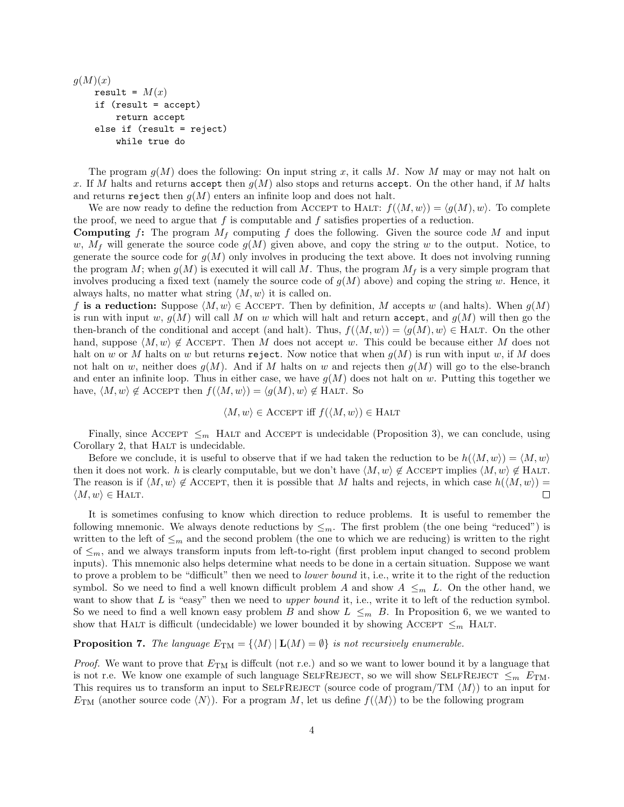```
q(M)(x)result = M(x)if (result = accept)
    return accept
else if (result = reject)
    while true do
```
The program  $q(M)$  does the following: On input string x, it calls M. Now M may or may not halt on x. If M halts and returns accept then  $g(M)$  also stops and returns accept. On the other hand, if M halts and returns reject then  $g(M)$  enters an infinite loop and does not halt.

We are now ready to define the reduction from ACCEPT to HALT:  $f(\langle M, w \rangle) = \langle g(M), w \rangle$ . To complete the proof, we need to argue that f is computable and f satisfies properties of a reduction.

**Computing** f: The program  $M_f$  computing f does the following. Given the source code M and input w,  $M_f$  will generate the source code  $g(M)$  given above, and copy the string w to the output. Notice, to generate the source code for  $g(M)$  only involves in producing the text above. It does not involving running the program M; when  $g(M)$  is executed it will call M. Thus, the program  $M_f$  is a very simple program that involves producing a fixed text (namely the source code of  $g(M)$  above) and coping the string w. Hence, it always halts, no matter what string  $\langle M, w \rangle$  it is called on.

f is a reduction: Suppose  $\langle M, w \rangle \in \text{Accept}$ . Then by definition, M accepts w (and halts). When  $g(M)$ is run with input w,  $g(M)$  will call M on w which will halt and return accept, and  $g(M)$  will then go the then-branch of the conditional and accept (and halt). Thus,  $f(\langle M, w \rangle) = \langle g(M), w \rangle \in$  HALT. On the other hand, suppose  $\langle M, w \rangle \notin \text{ACCEPT}$ . Then M does not accept w. This could be because either M does not halt on w or M halts on w but returns reject. Now notice that when  $q(M)$  is run with input w, if M does not halt on w, neither does  $g(M)$ . And if M halts on w and rejects then  $g(M)$  will go to the else-branch and enter an infinite loop. Thus in either case, we have  $q(M)$  does not halt on w. Putting this together we have,  $\langle M, w \rangle \notin \text{Accept}$  then  $f(\langle M, w \rangle) = \langle g(M), w \rangle \notin \text{HALT. So}$ 

$$
\langle M, w \rangle \in \text{Accept}
$$
 iff  $f(\langle M, w \rangle) \in \text{HALT}$ 

Finally, since ACCEPT  $\leq_m$  HALT and ACCEPT is undecidable (Proposition 3), we can conclude, using Corollary 2, that HALT is undecidable.

Before we conclude, it is useful to observe that if we had taken the reduction to be  $h(\langle M, w \rangle) = \langle M, w \rangle$ then it does not work. h is clearly computable, but we don't have  $\langle M, w \rangle \notin \text{ACCEPT}$  implies  $\langle M, w \rangle \notin \text{HALT}$ . The reason is if  $\langle M, w \rangle \notin \text{Accept}$ , then it is possible that M halts and rejects, in which case  $h(\langle M, w \rangle) =$  $\langle M, w \rangle \in H$ ALT.  $\Box$ 

It is sometimes confusing to know which direction to reduce problems. It is useful to remember the following mnemonic. We always denote reductions by  $\leq_m$ . The first problem (the one being "reduced") is written to the left of  $\leq_m$  and the second problem (the one to which we are reducing) is written to the right of  $\leq_m$ , and we always transform inputs from left-to-right (first problem input changed to second problem inputs). This mnemonic also helps determine what needs to be done in a certain situation. Suppose we want to prove a problem to be "difficult" then we need to lower bound it, i.e., write it to the right of the reduction symbol. So we need to find a well known difficult problem A and show  $A \leq_m L$ . On the other hand, we want to show that  $L$  is "easy" then we need to *upper bound* it, i.e., write it to left of the reduction symbol. So we need to find a well known easy problem B and show  $L \leq_m B$ . In Proposition 6, we we wanted to show that HALT is difficult (undecidable) we lower bounded it by showing ACCEPT  $\leq_m$  HALT.

### **Proposition 7.** The language  $E_{TM} = \{ \langle M \rangle | \mathbf{L}(M) = \emptyset \}$  is not recursively enumerable.

*Proof.* We want to prove that  $E_{TM}$  is diffcult (not r.e.) and so we want to lower bound it by a language that is not r.e. We know one example of such language SELFREJECT, so we will show SELFREJECT  $\leq_m E_{\text{TM}}$ . This requires us to transform an input to SELFREJECT (source code of program/TM  $\langle M \rangle$ ) to an input for  $E_{TM}$  (another source code  $\langle N \rangle$ ). For a program M, let us define  $f(\langle M \rangle)$  to be the following program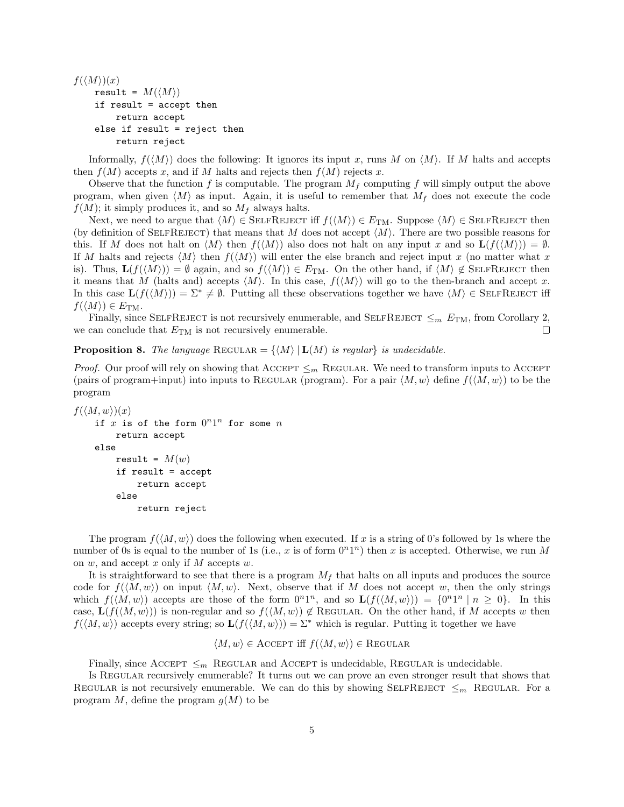```
f(\langle M \rangle)(x)result = M(\langle M \rangle)if result = accept then
      return accept
 else if result = reject then
      return reject
```
Informally,  $f(\langle M \rangle)$  does the following: It ignores its input x, runs M on  $\langle M \rangle$ . If M halts and accepts then  $f(M)$  accepts x, and if M halts and rejects then  $f(M)$  rejects x.

Observe that the function f is computable. The program  $M_f$  computing f will simply output the above program, when given  $\langle M \rangle$  as input. Again, it is useful to remember that  $M_f$  does not execute the code  $f(M)$ ; it simply produces it, and so  $M_f$  always halts.

Next, we need to argue that  $\langle M \rangle \in \text{SELFREJECT}$  iff  $f(\langle M \rangle) \in E_{TM}$ . Suppose  $\langle M \rangle \in \text{SELFREJECT}$  then (by definition of SELFREJECT) that means that M does not accept  $\langle M \rangle$ . There are two possible reasons for this. If M does not halt on  $\langle M \rangle$  then  $f(\langle M \rangle)$  also does not halt on any input x and so  $\mathbf{L}(f(\langle M \rangle)) = \emptyset$ . If M halts and rejects  $\langle M \rangle$  then  $f(\langle M \rangle)$  will enter the else branch and reject input x (no matter what x is). Thus,  $\mathbf{L}(f(\langle M \rangle)) = \emptyset$  again, and so  $f(\langle M \rangle) \in E_{TM}$ . On the other hand, if  $\langle M \rangle \notin \text{SELFREJECT then}$ it means that M (halts and) accepts  $\langle M \rangle$ . In this case,  $f(\langle M \rangle)$  will go to the then-branch and accept x. In this case  $\mathbf{L}(f(\langle M \rangle)) = \Sigma^* \neq \emptyset$ . Putting all these observations together we have  $\langle M \rangle \in \text{SELFREJECT}$  iff  $f(\langle M \rangle) \in E_{\text{TM}}$ .

Finally, since SELFREJECT is not recursively enumerable, and SELFREJECT  $\leq_m E_{\text{TM}}$ , from Corollary 2, we can conclude that  $E_{TM}$  is not recursively enumerable.  $\Box$ 

**Proposition 8.** The language REGULAR =  $\{ \langle M \rangle | \mathbf{L}(M)$  is regularly is undecidable.

*Proof.* Our proof will rely on showing that ACCEPT  $\leq_m$  REGULAR. We need to transform inputs to ACCEPT (pairs of program+input) into inputs to REGULAR (program). For a pair  $\langle M, w \rangle$  define  $f(\langle M, w \rangle)$  to be the program

```
f(\langle M, w \rangle)(x)if x is of the form 0^n1^n for some nreturn accept
else
     result = M(w)if result = accept
         return accept
     else
         return reject
```
The program  $f(\langle M, w \rangle)$  does the following when executed. If x is a string of 0's followed by 1s where the number of 0s is equal to the number of 1s (i.e., x is of form  $0^n1^n$ ) then x is accepted. Otherwise, we run M on  $w$ , and accept  $x$  only if  $M$  accepts  $w$ .

It is straightforward to see that there is a program  $M_f$  that halts on all inputs and produces the source code for  $f(\langle M, w \rangle)$  on input  $\langle M, w \rangle$ . Next, observe that if M does not accept w, then the only strings which  $f(\langle M, w \rangle)$  accepts are those of the form  $0^{n}1^{n}$ , and so  $\mathbf{L}(f(\langle M, w \rangle)) = \{0^{n}1^{n} | n \geq 0\}$ . In this case,  $\mathbf{L}(f(\langle M, w \rangle))$  is non-regular and so  $f(\langle M, w \rangle) \notin \text{REGULAR}$ . On the other hand, if M accepts w then  $f(\langle M, w \rangle)$  accepts every string; so  $\mathbf{L}(f(\langle M, w \rangle)) = \Sigma^*$  which is regular. Putting it together we have

$$
\langle M, w \rangle \in \text{Accept}
$$
 iff  $f(\langle M, w \rangle) \in \text{Regular}$ 

Finally, since ACCEPT  $\leq_m$  REGULAR and ACCEPT is undecidable. REGULAR is undecidable.

Is Regular recursively enumerable? It turns out we can prove an even stronger result that shows that REGULAR is not recursively enumerable. We can do this by showing SELFREJECT  $\leq_m$  REGULAR. For a program  $M$ , define the program  $g(M)$  to be